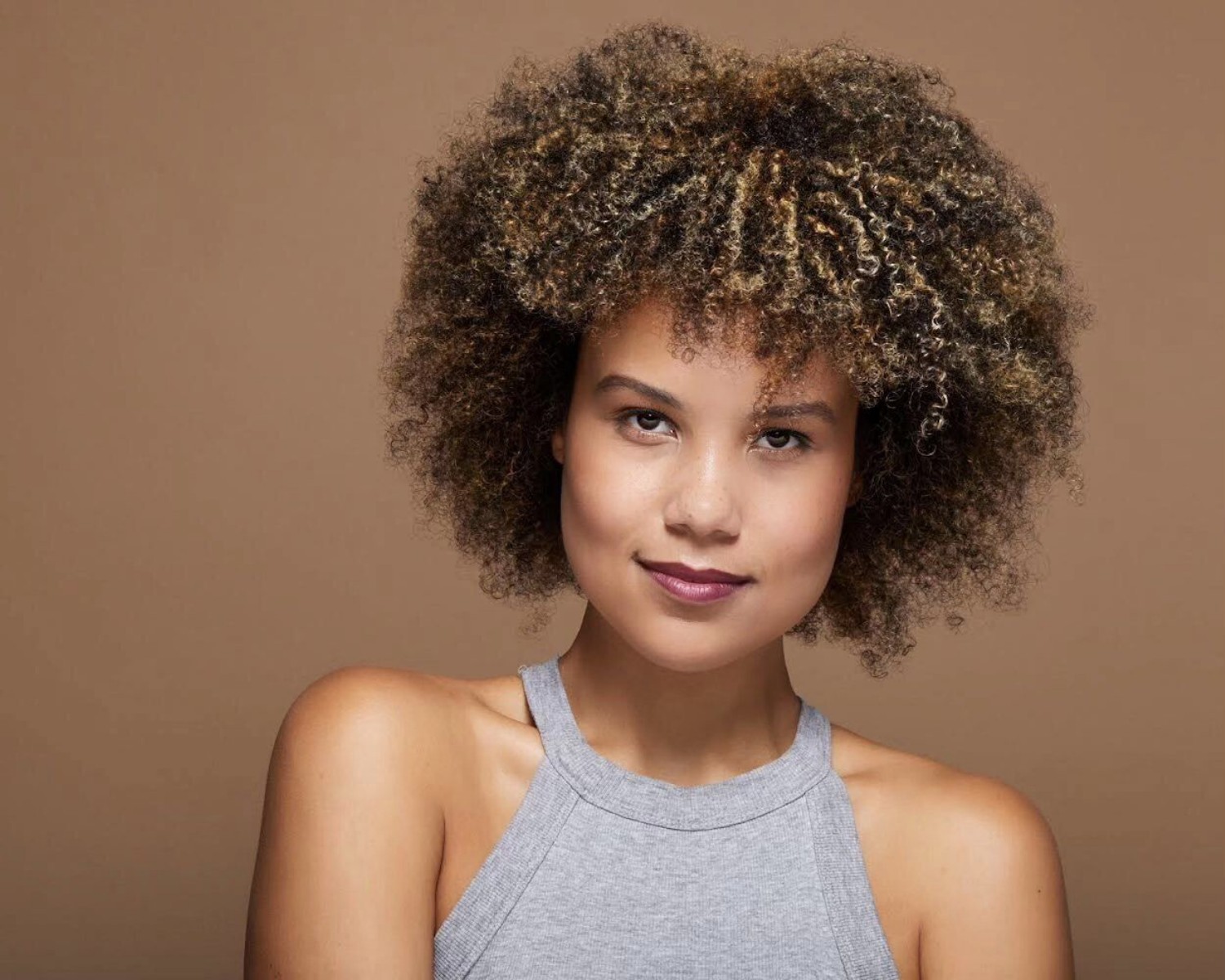